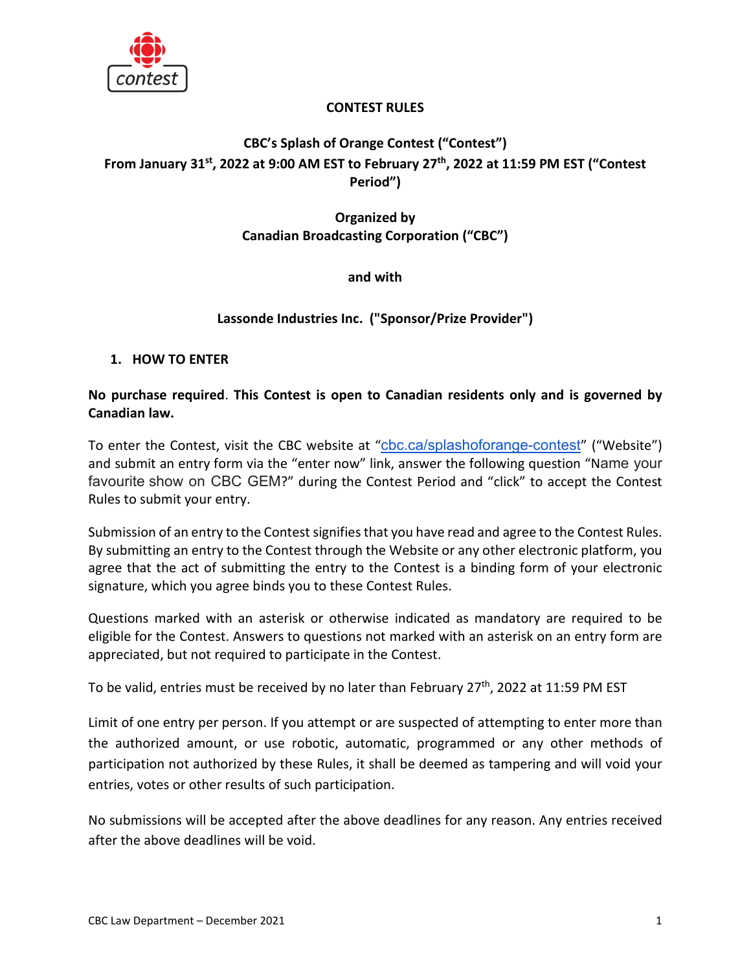

### **CONTEST RULES**

# **CBC's Splash of Orange Contest ("Contest") From January 31st, 2022 at 9:00 AM EST to February 27th, 2022 at 11:59 PM EST ("Contest Period")**

# **Organized by Canadian Broadcasting Corporation ("CBC")**

# **and with**

# **Lassonde Industries Inc. ("Sponsor/Prize Provider")**

#### **1. HOW TO ENTER**

### **No purchase required**. **This Contest is open to Canadian residents only and is governed by Canadian law.**

To enter the Contest, visit the CBC website at "[cbc.ca/splashoforange-contest](http://cbc.ca/splashoforange-contest)" ("Website") and submit an entry form via the "enter now" link, answer the following question "Name your favourite show on CBC GEM?" during the Contest Period and "click" to accept the Contest Rules to submit your entry.

Submission of an entry to the Contest signifies that you have read and agree to the Contest Rules. By submitting an entry to the Contest through the Website or any other electronic platform, you agree that the act of submitting the entry to the Contest is a binding form of your electronic signature, which you agree binds you to these Contest Rules.

Questions marked with an asterisk or otherwise indicated as mandatory are required to be eligible for the Contest. Answers to questions not marked with an asterisk on an entry form are appreciated, but not required to participate in the Contest.

To be valid, entries must be received by no later than February 27<sup>th</sup>, 2022 at 11:59 PM EST

Limit of one entry per person. If you attempt or are suspected of attempting to enter more than the authorized amount, or use robotic, automatic, programmed or any other methods of participation not authorized by these Rules, it shall be deemed as tampering and will void your entries, votes or other results of such participation.

No submissions will be accepted after the above deadlines for any reason. Any entries received after the above deadlines will be void.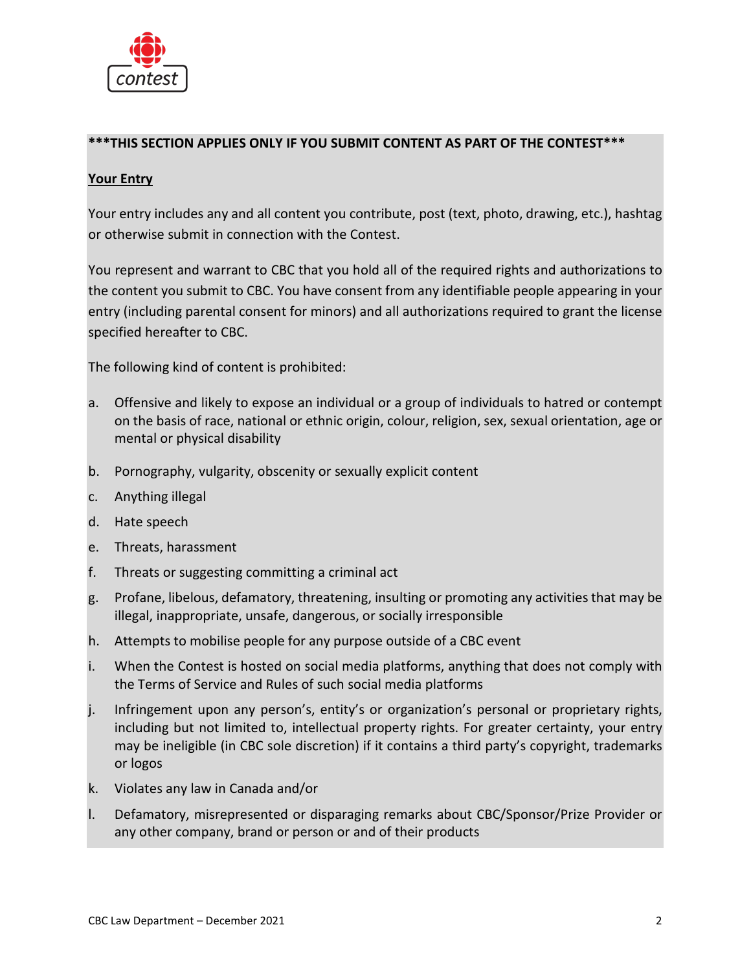

#### **\*\*\*THIS SECTION APPLIES ONLY IF YOU SUBMIT CONTENT AS PART OF THE CONTEST\*\*\***

# **Your Entry**

Your entry includes any and all content you contribute, post (text, photo, drawing, etc.), hashtag or otherwise submit in connection with the Contest.

You represent and warrant to CBC that you hold all of the required rights and authorizations to the content you submit to CBC. You have consent from any identifiable people appearing in your entry (including parental consent for minors) and all authorizations required to grant the license specified hereafter to CBC.

The following kind of content is prohibited:

- a. Offensive and likely to expose an individual or a group of individuals to hatred or contempt on the basis of race, national or ethnic origin, colour, religion, sex, sexual orientation, age or mental or physical disability
- b. Pornography, vulgarity, obscenity or sexually explicit content
- c. Anything illegal
- d. Hate speech
- e. Threats, harassment
- f. Threats or suggesting committing a criminal act
- g. Profane, libelous, defamatory, threatening, insulting or promoting any activities that may be illegal, inappropriate, unsafe, dangerous, or socially irresponsible
- h. Attempts to mobilise people for any purpose outside of a CBC event
- i. When the Contest is hosted on social media platforms, anything that does not comply with the Terms of Service and Rules of such social media platforms
- j. Infringement upon any person's, entity's or organization's personal or proprietary rights, including but not limited to, intellectual property rights. For greater certainty, your entry may be ineligible (in CBC sole discretion) if it contains a third party's copyright, trademarks or logos
- k. Violates any law in Canada and/or
- l. Defamatory, misrepresented or disparaging remarks about CBC/Sponsor/Prize Provider or any other company, brand or person or and of their products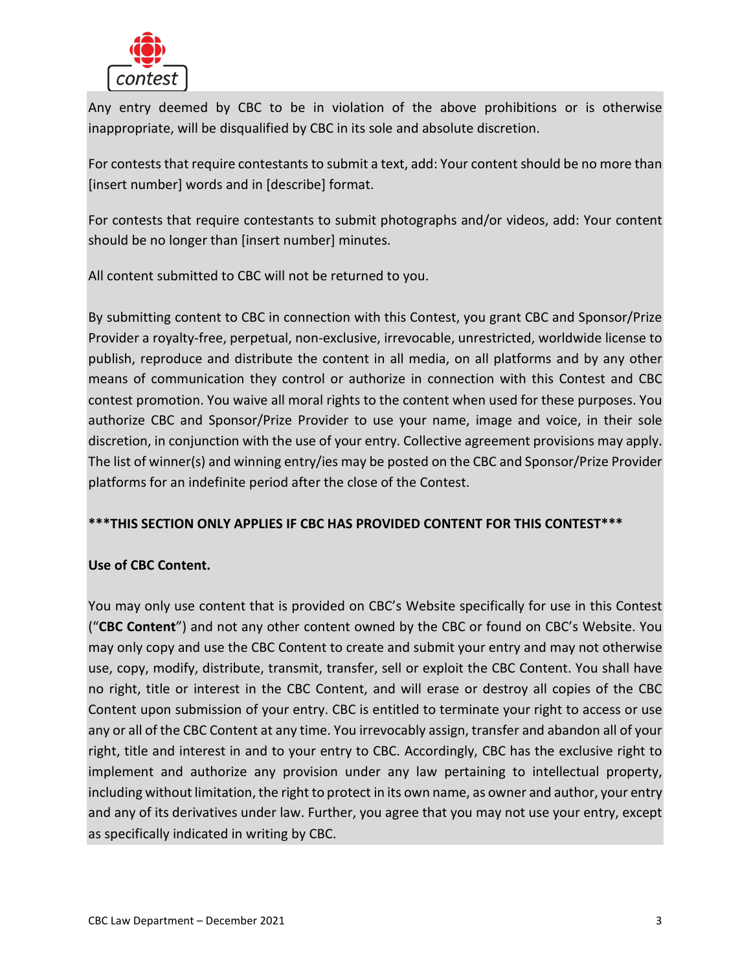

Any entry deemed by CBC to be in violation of the above prohibitions or is otherwise inappropriate, will be disqualified by CBC in its sole and absolute discretion.

For contests that require contestants to submit a text, add: Your content should be no more than [insert number] words and in [describe] format.

For contests that require contestants to submit photographs and/or videos, add: Your content should be no longer than [insert number] minutes.

All content submitted to CBC will not be returned to you.

By submitting content to CBC in connection with this Contest, you grant CBC and Sponsor/Prize Provider a royalty-free, perpetual, non-exclusive, irrevocable, unrestricted, worldwide license to publish, reproduce and distribute the content in all media, on all platforms and by any other means of communication they control or authorize in connection with this Contest and CBC contest promotion. You waive all moral rights to the content when used for these purposes. You authorize CBC and Sponsor/Prize Provider to use your name, image and voice, in their sole discretion, in conjunction with the use of your entry. Collective agreement provisions may apply. The list of winner(s) and winning entry/ies may be posted on the CBC and Sponsor/Prize Provider platforms for an indefinite period after the close of the Contest.

#### **\*\*\*THIS SECTION ONLY APPLIES IF CBC HAS PROVIDED CONTENT FOR THIS CONTEST\*\*\***

# **Use of CBC Content.**

You may only use content that is provided on CBC's Website specifically for use in this Contest ("**CBC Content**") and not any other content owned by the CBC or found on CBC's Website. You may only copy and use the CBC Content to create and submit your entry and may not otherwise use, copy, modify, distribute, transmit, transfer, sell or exploit the CBC Content. You shall have no right, title or interest in the CBC Content, and will erase or destroy all copies of the CBC Content upon submission of your entry. CBC is entitled to terminate your right to access or use any or all of the CBC Content at any time. You irrevocably assign, transfer and abandon all of your right, title and interest in and to your entry to CBC. Accordingly, CBC has the exclusive right to implement and authorize any provision under any law pertaining to intellectual property, including without limitation, the right to protect in its own name, as owner and author, your entry and any of its derivatives under law. Further, you agree that you may not use your entry, except as specifically indicated in writing by CBC.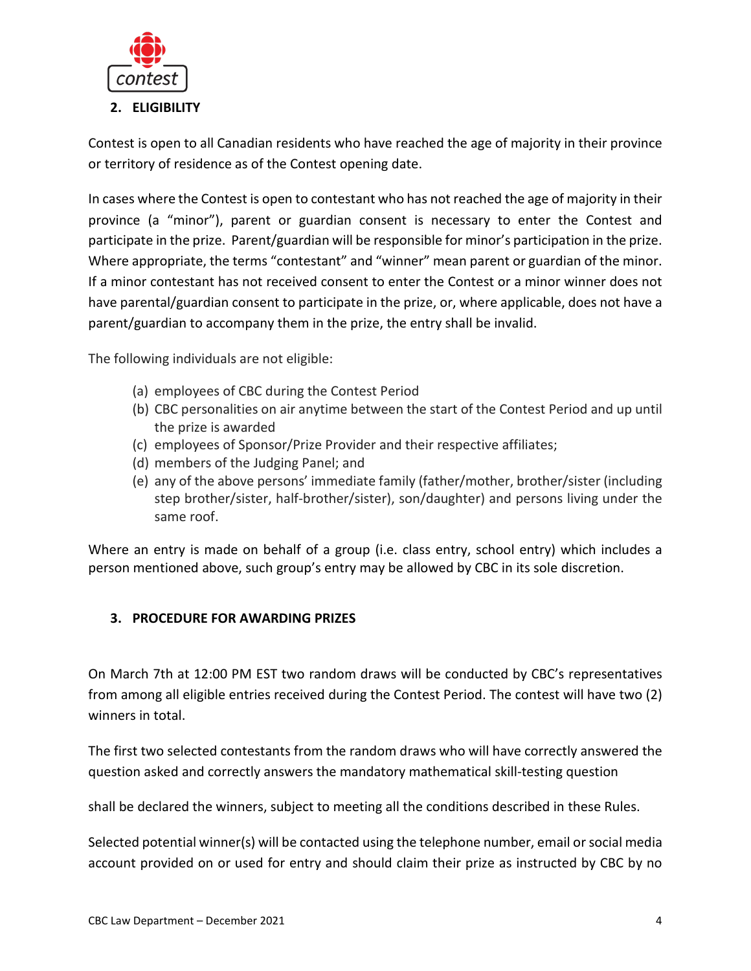

Contest is open to all Canadian residents who have reached the age of majority in their province or territory of residence as of the Contest opening date.

In cases where the Contest is open to contestant who has not reached the age of majority in their province (a "minor"), parent or guardian consent is necessary to enter the Contest and participate in the prize. Parent/guardian will be responsible for minor's participation in the prize. Where appropriate, the terms "contestant" and "winner" mean parent or guardian of the minor. If a minor contestant has not received consent to enter the Contest or a minor winner does not have parental/guardian consent to participate in the prize, or, where applicable, does not have a parent/guardian to accompany them in the prize, the entry shall be invalid.

The following individuals are not eligible:

- (a) employees of CBC during the Contest Period
- (b) CBC personalities on air anytime between the start of the Contest Period and up until the prize is awarded
- (c) employees of Sponsor/Prize Provider and their respective affiliates;
- (d) members of the Judging Panel; and
- (e) any of the above persons' immediate family (father/mother, brother/sister (including step brother/sister, half-brother/sister), son/daughter) and persons living under the same roof.

Where an entry is made on behalf of a group (i.e. class entry, school entry) which includes a person mentioned above, such group's entry may be allowed by CBC in its sole discretion.

# **3. PROCEDURE FOR AWARDING PRIZES**

On March 7th at 12:00 PM EST two random draws will be conducted by CBC's representatives from among all eligible entries received during the Contest Period. The contest will have two (2) winners in total.

The first two selected contestants from the random draws who will have correctly answered the question asked and correctly answers the mandatory mathematical skill-testing question

shall be declared the winners, subject to meeting all the conditions described in these Rules.

Selected potential winner(s) will be contacted using the telephone number, email or social media account provided on or used for entry and should claim their prize as instructed by CBC by no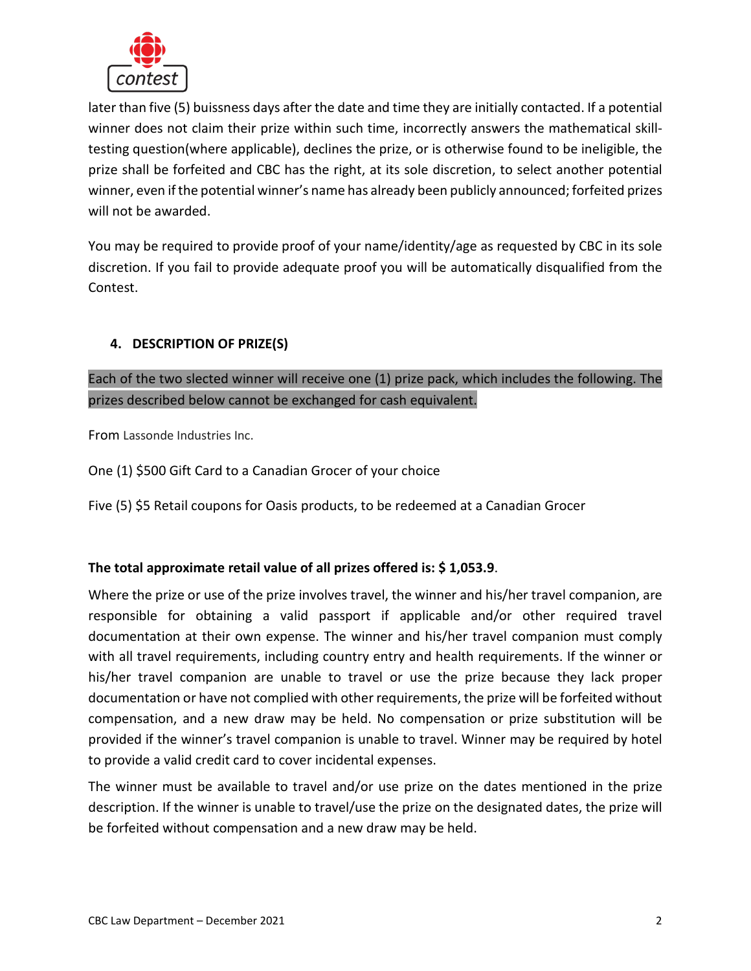

later than five (5) buissness days after the date and time they are initially contacted. If a potential winner does not claim their prize within such time, incorrectly answers the mathematical skilltesting question(where applicable), declines the prize, or is otherwise found to be ineligible, the prize shall be forfeited and CBC has the right, at its sole discretion, to select another potential winner, even if the potential winner's name has already been publicly announced; forfeited prizes will not be awarded.

You may be required to provide proof of your name/identity/age as requested by CBC in its sole discretion. If you fail to provide adequate proof you will be automatically disqualified from the Contest.

# **4. DESCRIPTION OF PRIZE(S)**

Each of the two slected winner will receive one (1) prize pack, which includes the following. The prizes described below cannot be exchanged for cash equivalent.

From Lassonde Industries Inc.

One (1) \$500 Gift Card to a Canadian Grocer of your choice

Five (5) \$5 Retail coupons for Oasis products, to be redeemed at a Canadian Grocer

#### **The total approximate retail value of all prizes offered is: \$ 1,053.9**.

Where the prize or use of the prize involves travel, the winner and his/her travel companion, are responsible for obtaining a valid passport if applicable and/or other required travel documentation at their own expense. The winner and his/her travel companion must comply with all travel requirements, including country entry and health requirements. If the winner or his/her travel companion are unable to travel or use the prize because they lack proper documentation or have not complied with other requirements, the prize will be forfeited without compensation, and a new draw may be held. No compensation or prize substitution will be provided if the winner's travel companion is unable to travel. Winner may be required by hotel to provide a valid credit card to cover incidental expenses.

The winner must be available to travel and/or use prize on the dates mentioned in the prize description. If the winner is unable to travel/use the prize on the designated dates, the prize will be forfeited without compensation and a new draw may be held.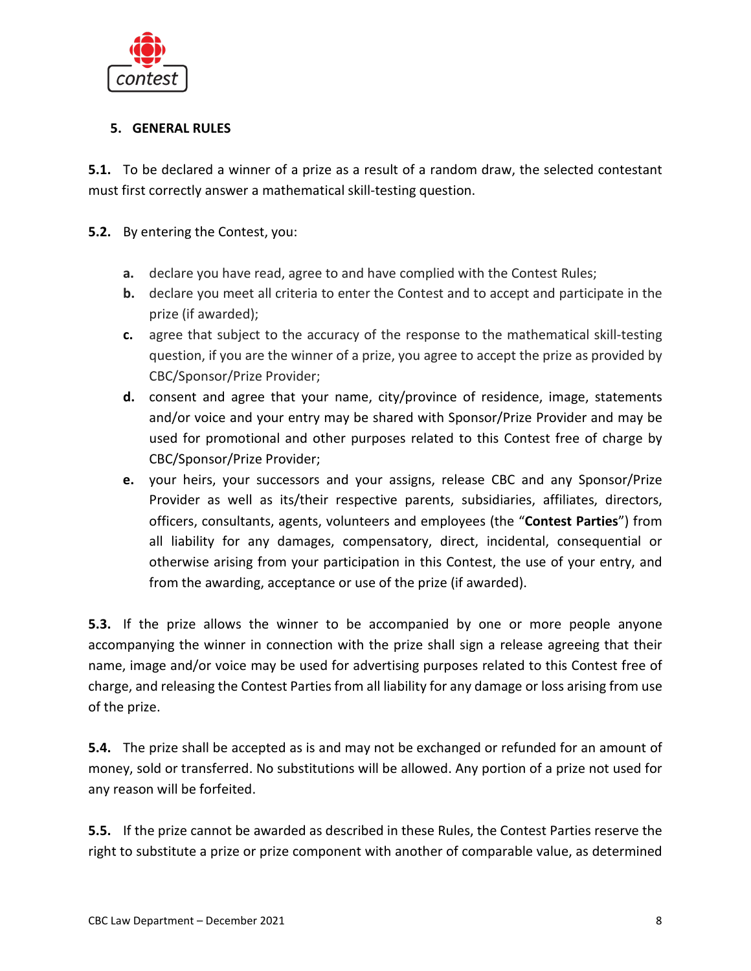

# **5. GENERAL RULES**

**5.1.** To be declared a winner of a prize as a result of a random draw, the selected contestant must first correctly answer a mathematical skill-testing question.

# **5.2.** By entering the Contest, you:

- **a.** declare you have read, agree to and have complied with the Contest Rules;
- **b.** declare you meet all criteria to enter the Contest and to accept and participate in the prize (if awarded);
- **c.** agree that subject to the accuracy of the response to the mathematical skill-testing question, if you are the winner of a prize, you agree to accept the prize as provided by CBC/Sponsor/Prize Provider;
- **d.** consent and agree that your name, city/province of residence, image, statements and/or voice and your entry may be shared with Sponsor/Prize Provider and may be used for promotional and other purposes related to this Contest free of charge by CBC/Sponsor/Prize Provider;
- **e.** your heirs, your successors and your assigns, release CBC and any Sponsor/Prize Provider as well as its/their respective parents, subsidiaries, affiliates, directors, officers, consultants, agents, volunteers and employees (the "**Contest Parties**") from all liability for any damages, compensatory, direct, incidental, consequential or otherwise arising from your participation in this Contest, the use of your entry, and from the awarding, acceptance or use of the prize (if awarded).

**5.3.** If the prize allows the winner to be accompanied by one or more people anyone accompanying the winner in connection with the prize shall sign a release agreeing that their name, image and/or voice may be used for advertising purposes related to this Contest free of charge, and releasing the Contest Parties from all liability for any damage or loss arising from use of the prize.

**5.4.** The prize shall be accepted as is and may not be exchanged or refunded for an amount of money, sold or transferred. No substitutions will be allowed. Any portion of a prize not used for any reason will be forfeited.

**5.5.** If the prize cannot be awarded as described in these Rules, the Contest Parties reserve the right to substitute a prize or prize component with another of comparable value, as determined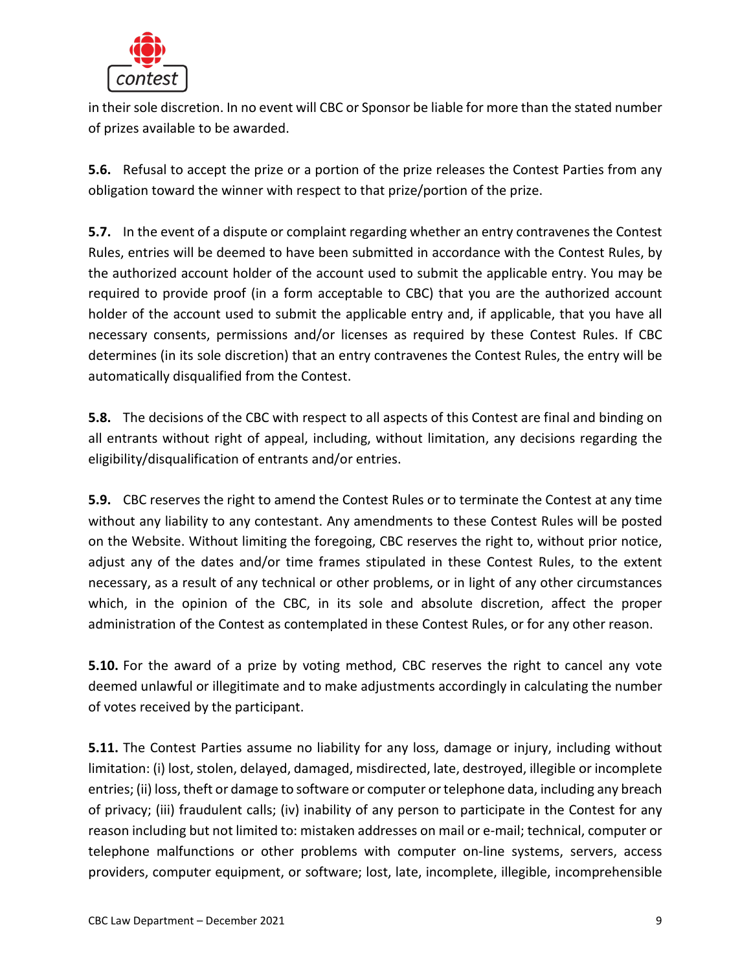

in their sole discretion. In no event will CBC or Sponsor be liable for more than the stated number of prizes available to be awarded.

**5.6.** Refusal to accept the prize or a portion of the prize releases the Contest Parties from any obligation toward the winner with respect to that prize/portion of the prize.

**5.7.** In the event of a dispute or complaint regarding whether an entry contravenes the Contest Rules, entries will be deemed to have been submitted in accordance with the Contest Rules, by the authorized account holder of the account used to submit the applicable entry. You may be required to provide proof (in a form acceptable to CBC) that you are the authorized account holder of the account used to submit the applicable entry and, if applicable, that you have all necessary consents, permissions and/or licenses as required by these Contest Rules. If CBC determines (in its sole discretion) that an entry contravenes the Contest Rules, the entry will be automatically disqualified from the Contest.

**5.8.** The decisions of the CBC with respect to all aspects of this Contest are final and binding on all entrants without right of appeal, including, without limitation, any decisions regarding the eligibility/disqualification of entrants and/or entries.

**5.9.** CBC reserves the right to amend the Contest Rules or to terminate the Contest at any time without any liability to any contestant. Any amendments to these Contest Rules will be posted on the Website. Without limiting the foregoing, CBC reserves the right to, without prior notice, adjust any of the dates and/or time frames stipulated in these Contest Rules, to the extent necessary, as a result of any technical or other problems, or in light of any other circumstances which, in the opinion of the CBC, in its sole and absolute discretion, affect the proper administration of the Contest as contemplated in these Contest Rules, or for any other reason.

**5.10.** For the award of a prize by voting method, CBC reserves the right to cancel any vote deemed unlawful or illegitimate and to make adjustments accordingly in calculating the number of votes received by the participant.

**5.11.** The Contest Parties assume no liability for any loss, damage or injury, including without limitation: (i) lost, stolen, delayed, damaged, misdirected, late, destroyed, illegible or incomplete entries; (ii) loss, theft or damage to software or computer or telephone data, including any breach of privacy; (iii) fraudulent calls; (iv) inability of any person to participate in the Contest for any reason including but not limited to: mistaken addresses on mail or e-mail; technical, computer or telephone malfunctions or other problems with computer on-line systems, servers, access providers, computer equipment, or software; lost, late, incomplete, illegible, incomprehensible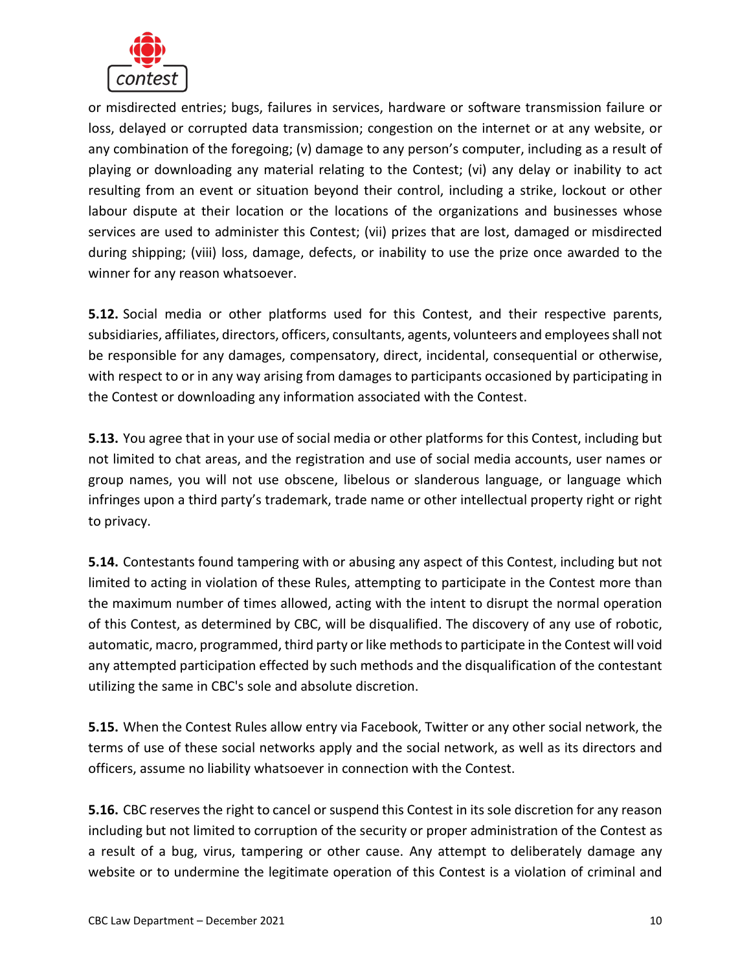

or misdirected entries; bugs, failures in services, hardware or software transmission failure or loss, delayed or corrupted data transmission; congestion on the internet or at any website, or any combination of the foregoing; (v) damage to any person's computer, including as a result of playing or downloading any material relating to the Contest; (vi) any delay or inability to act resulting from an event or situation beyond their control, including a strike, lockout or other labour dispute at their location or the locations of the organizations and businesses whose services are used to administer this Contest; (vii) prizes that are lost, damaged or misdirected during shipping; (viii) loss, damage, defects, or inability to use the prize once awarded to the winner for any reason whatsoever.

**5.12.** Social media or other platforms used for this Contest, and their respective parents, subsidiaries, affiliates, directors, officers, consultants, agents, volunteers and employees shall not be responsible for any damages, compensatory, direct, incidental, consequential or otherwise, with respect to or in any way arising from damages to participants occasioned by participating in the Contest or downloading any information associated with the Contest.

**5.13.** You agree that in your use of social media or other platforms for this Contest, including but not limited to chat areas, and the registration and use of social media accounts, user names or group names, you will not use obscene, libelous or slanderous language, or language which infringes upon a third party's trademark, trade name or other intellectual property right or right to privacy.

**5.14.** Contestants found tampering with or abusing any aspect of this Contest, including but not limited to acting in violation of these Rules, attempting to participate in the Contest more than the maximum number of times allowed, acting with the intent to disrupt the normal operation of this Contest, as determined by CBC, will be disqualified. The discovery of any use of robotic, automatic, macro, programmed, third party or like methods to participate in the Contest will void any attempted participation effected by such methods and the disqualification of the contestant utilizing the same in CBC's sole and absolute discretion.

**5.15.** When the Contest Rules allow entry via Facebook, Twitter or any other social network, the terms of use of these social networks apply and the social network, as well as its directors and officers, assume no liability whatsoever in connection with the Contest.

**5.16.** CBC reserves the right to cancel or suspend this Contest in its sole discretion for any reason including but not limited to corruption of the security or proper administration of the Contest as a result of a bug, virus, tampering or other cause. Any attempt to deliberately damage any website or to undermine the legitimate operation of this Contest is a violation of criminal and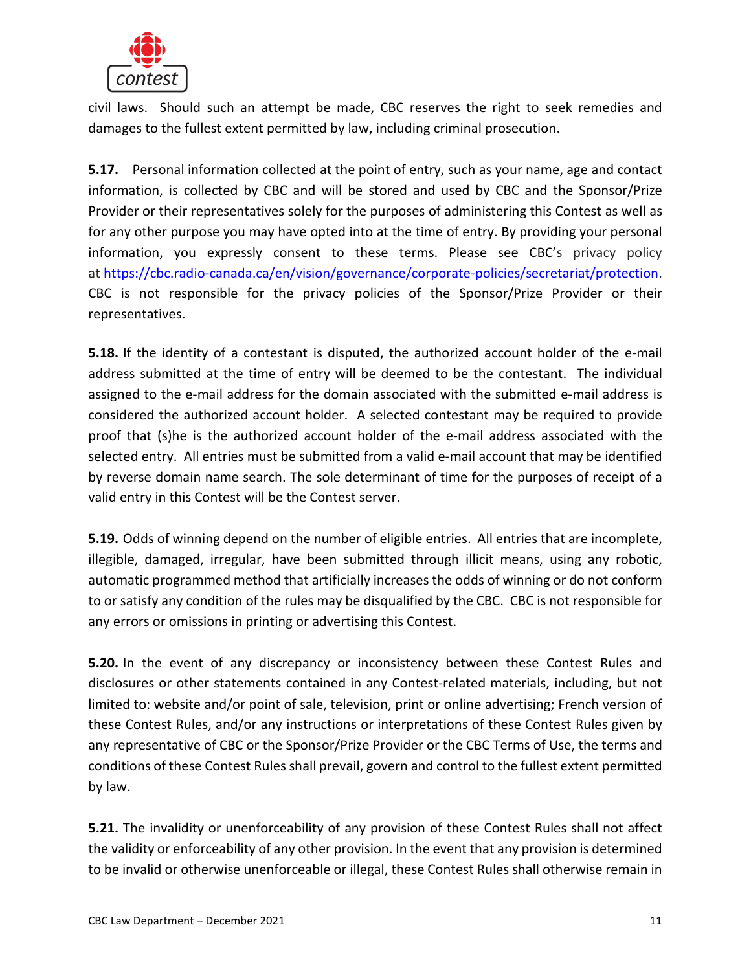

civil laws. Should such an attempt be made, CBC reserves the right to seek remedies and damages to the fullest extent permitted by law, including criminal prosecution.

**5.17.** Personal information collected at the point of entry, such as your name, age and contact information, is collected by CBC and will be stored and used by CBC and the Sponsor/Prize Provider or their representatives solely for the purposes of administering this Contest as well as for any other purpose you may have opted into at the time of entry. By providing your personal information, you expressly consent to these terms. Please see CBC's privacy policy at [https://cbc.radio-canada.ca/en/vision/governance/corporate-policies/secretariat/protection.](https://cbc.radio-canada.ca/en/vision/governance/corporate-policies/secretariat/protection) CBC is not responsible for the privacy policies of the Sponsor/Prize Provider or their representatives.

**5.18.** If the identity of a contestant is disputed, the authorized account holder of the e-mail address submitted at the time of entry will be deemed to be the contestant. The individual assigned to the e-mail address for the domain associated with the submitted e-mail address is considered the authorized account holder. A selected contestant may be required to provide proof that (s)he is the authorized account holder of the e-mail address associated with the selected entry. All entries must be submitted from a valid e-mail account that may be identified by reverse domain name search. The sole determinant of time for the purposes of receipt of a valid entry in this Contest will be the Contest server.

**5.19.** Odds of winning depend on the number of eligible entries. All entries that are incomplete, illegible, damaged, irregular, have been submitted through illicit means, using any robotic, automatic programmed method that artificially increases the odds of winning or do not conform to or satisfy any condition of the rules may be disqualified by the CBC. CBC is not responsible for any errors or omissions in printing or advertising this Contest.

**5.20.** In the event of any discrepancy or inconsistency between these Contest Rules and disclosures or other statements contained in any Contest-related materials, including, but not limited to: website and/or point of sale, television, print or online advertising; French version of these Contest Rules, and/or any instructions or interpretations of these Contest Rules given by any representative of CBC or the Sponsor/Prize Provider or the CBC Terms of Use, the terms and conditions of these Contest Rules shall prevail, govern and control to the fullest extent permitted by law.

**5.21.** The invalidity or unenforceability of any provision of these Contest Rules shall not affect the validity or enforceability of any other provision. In the event that any provision is determined to be invalid or otherwise unenforceable or illegal, these Contest Rules shall otherwise remain in